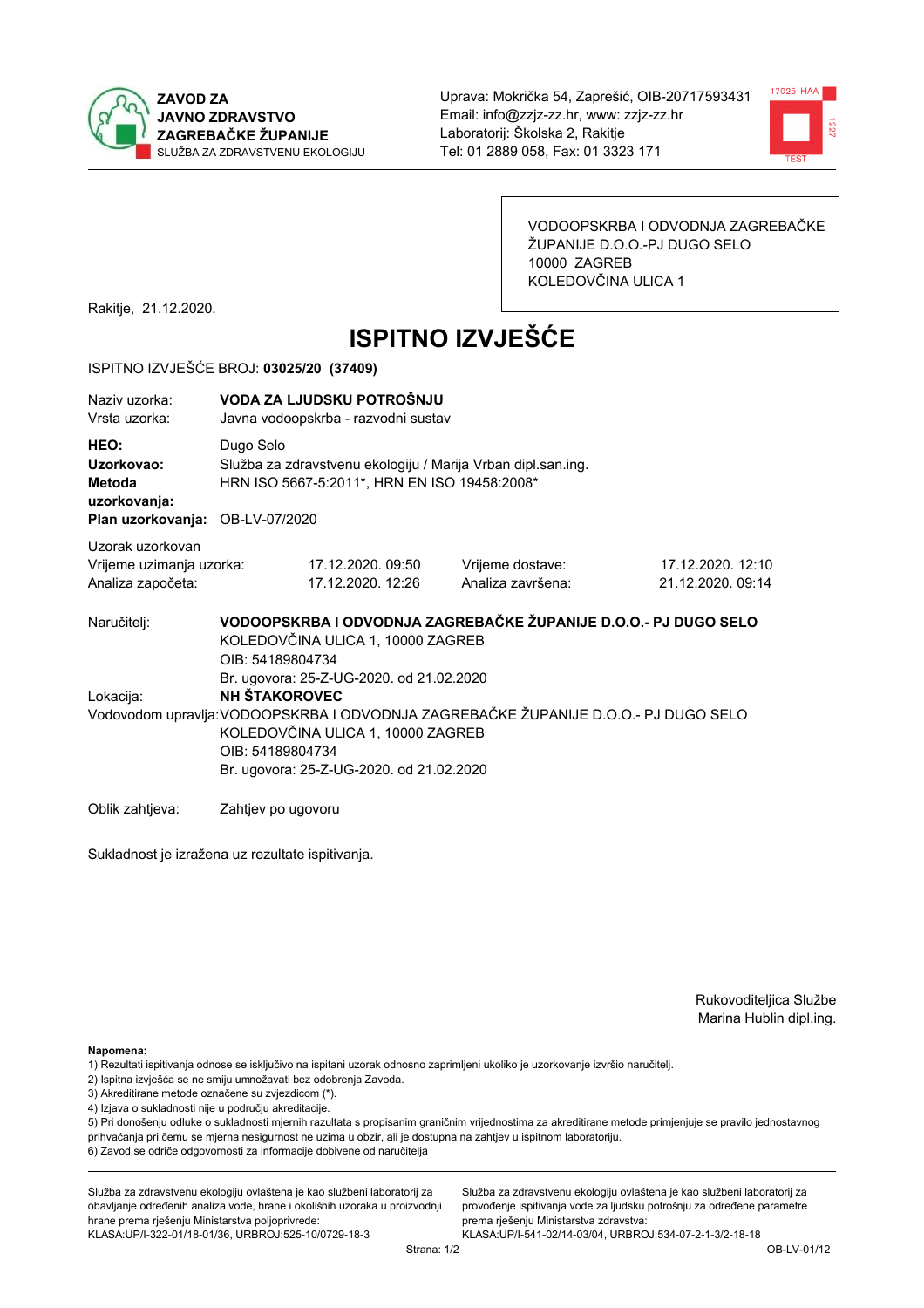



VODOOPSKRBA I ODVODNJA ZAGREBAČKE ŽUPANIJE D.O.O.-PJ DUGO SELO 10000 ZAGREB KOLEDOVČINA ULICA 1

Rakitje, 21.12.2020.

# **ISPITNO IZVJEŠĆE**

#### ISPITNO IZVJEŠĆE BROJ: 03025/20 (37409)

| Naziv uzorka:<br>Vrsta uzorka:                                                  |                                          | VODA ZA LJUDSKU POTROŠNJU<br>Javna vodoopskrba - razvodni sustav                                             |                                                                                     |                                        |  |  |
|---------------------------------------------------------------------------------|------------------------------------------|--------------------------------------------------------------------------------------------------------------|-------------------------------------------------------------------------------------|----------------------------------------|--|--|
| HEO:<br>Uzorkovao:<br>Metoda<br>uzorkovanja:<br>Plan uzorkovanja: OB-LV-07/2020 | Dugo Selo                                | Služba za zdravstvenu ekologiju / Marija Vrban dipl.san.ing.<br>HRN ISO 5667-5:2011*, HRN EN ISO 19458:2008* |                                                                                     |                                        |  |  |
| Uzorak uzorkovan<br>Vrijeme uzimanja uzorka:<br>Analiza započeta:               |                                          | 17.12.2020.09:50<br>17.12.2020. 12:26                                                                        | Vrijeme dostave:<br>Analiza završena:                                               | 17.12.2020. 12:10<br>21.12.2020, 09:14 |  |  |
| Naručitelj:                                                                     | OIB: 54189804734                         | KOLEDOVČINA ULICA 1, 10000 ZAGREB<br>Br. ugovora: 25-Z-UG-2020. od 21.02.2020                                | VODOOPSKRBA I ODVODNJA ZAGREBAČKE ŽUPANIJE D.O.O.- PJ DUGO SELO                     |                                        |  |  |
| Lokacija:                                                                       | <b>NH ŠTAKOROVEC</b><br>OIB: 54189804734 | KOLEDOVČINA ULICA 1, 10000 ZAGREB<br>Br. ugovora: 25-Z-UG-2020. od 21.02.2020                                | Vodovodom upravlja: VODOOPSKRBA I ODVODNJA ZAGREBAČKE ŽUPANIJE D.O.O.- PJ DUGO SELO |                                        |  |  |
| Oblik zahtieva:                                                                 | Zahtiev po ugovoru                       |                                                                                                              |                                                                                     |                                        |  |  |

Sukladnost je izražena uz rezultate ispitivanja.

Rukovoditeljica Službe Marina Hublin dipl.ing.

Napomena:

- 1) Rezultati ispitivanja odnose se isključivo na ispitani uzorak odnosno zaprimljeni ukoliko je uzorkovanje izvršio naručiteli.
- 2) Ispitna izvješća se ne smiju umnožavati bez odobrenja Zavoda.
- 3) Akreditirane metode označene su zvjezdicom (\*).
- 4) Izjava o sukladnosti nije u području akreditacije.

5) Pri donošenju odluke o sukladnosti mjernih razultata s propisanim graničnim vrijednostima za akreditirane metode primjenjuje se pravilo jednostavnog prihvaćanja pri čemu se mjerna nesigurnost ne uzima u obzir, ali je dostupna na zahtjev u ispitnom laboratoriju.

6) Zavod se odriče odgovornosti za informacije dobivene od naručitelja

Služba za zdravstvenu ekologiju ovlaštena je kao službeni laboratorij za obavljanje određenih analiza vode, hrane i okolišnih uzoraka u proizvodnji hrane prema rješenju Ministarstva poljoprivrede:

KLASA: UP/I-322-01/18-01/36, URBROJ: 525-10/0729-18-3

Služba za zdravstvenu ekologiju ovlaštena je kao službeni laboratorij za provođenje ispitivanja vode za ljudsku potrošnju za određene parametre prema riešenju Ministarstva zdravstva: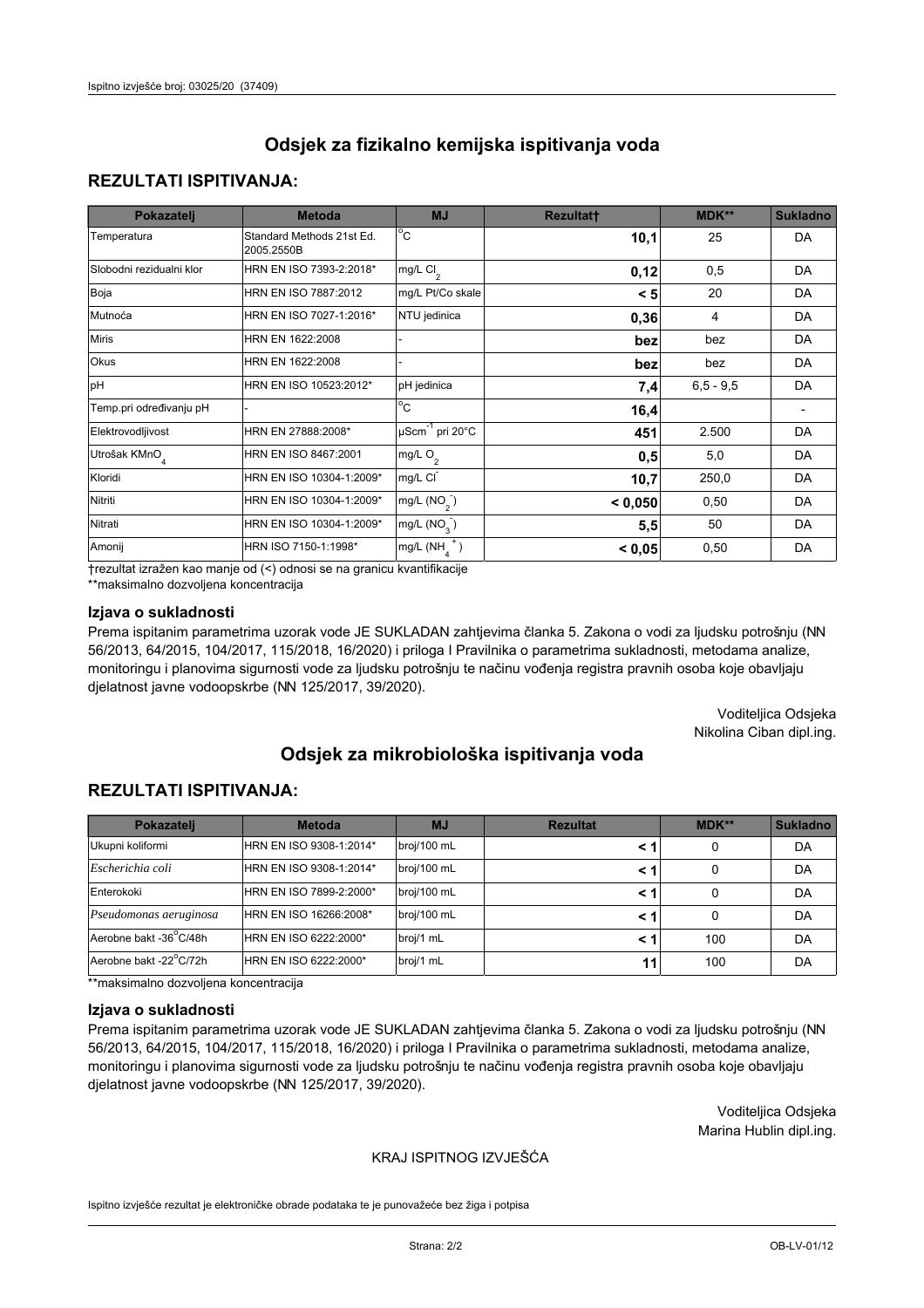## **REZULTATI ISPITIVANJA:**

| Pokazatelj                | <b>Metoda</b>                           | <b>MJ</b>                        | <b>Rezultatt</b> | <b>MDK**</b> | <b>Sukladno</b> |
|---------------------------|-----------------------------------------|----------------------------------|------------------|--------------|-----------------|
| Temperatura               | Standard Methods 21st Ed.<br>2005.2550B | $^{\circ}$ C                     | 10,1             | 25           | <b>DA</b>       |
| Slobodni rezidualni klor  | HRN EN ISO 7393-2:2018*                 | mg/L $Cl2$                       | 0,12             | 0,5          | <b>DA</b>       |
| Boja                      | HRN EN ISO 7887:2012                    | mg/L Pt/Co skale                 | < 5              | 20           | <b>DA</b>       |
| Mutnoća                   | HRN EN ISO 7027-1:2016*                 | NTU jedinica                     | 0,36             | 4            | DA              |
| <b>Miris</b>              | HRN EN 1622:2008                        |                                  | bez              | bez          | DA              |
| Okus                      | HRN EN 1622:2008                        |                                  | bez              | bez          | DA              |
| pH                        | HRN EN ISO 10523:2012*                  | pH jedinica                      | 7,4              | $6,5 - 9,5$  | <b>DA</b>       |
| Temp.pri određivanju pH   |                                         | $\overline{c}$                   | 16,4             |              |                 |
| Elektrovodljivost         | HRN EN 27888:2008*                      | $\mu$ Scm <sup>-1</sup> pri 20°C | 451              | 2.500        | DA              |
| Utrošak KMnO <sub>4</sub> | HRN EN ISO 8467:2001                    | mg/L O <sub>2</sub>              | 0,5              | 5,0          | DA              |
| Kloridi                   | HRN EN ISO 10304-1:2009*                | mg/L CI                          | 10,7             | 250,0        | DA              |
| Nitriti                   | HRN EN ISO 10304-1:2009*                | mg/L $(NO2)$                     | < 0,050          | 0,50         | <b>DA</b>       |
| Nitrati                   | HRN EN ISO 10304-1:2009*                | mg/L $(NO3)$                     | 5,5              | 50           | DA              |
| Amonij                    | HRN ISO 7150-1:1998*                    | $mg/L(NH_A^+)$                   | < 0,05           | 0,50         | DA              |

trezultat izražen kao manje od (<) odnosi se na granicu kvantifikacije

\*\*maksimalno dozvoljena koncentracija

## Izjava o sukladnosti

Prema ispitanim parametrima uzorak vode JE SUKLADAN zahtjevima članka 5. Zakona o vodi za ljudsku potrošnju (NN 56/2013, 64/2015, 104/2017, 115/2018, 16/2020) i priloga I Pravilnika o parametrima sukladnosti, metodama analize, monitoringu i planovima sigurnosti vode za ljudsku potrošnju te načinu vođenja registra pravnih osoba koje obavljaju djelatnost javne vodoopskrbe (NN 125/2017, 39/2020).

> Voditeljica Odsjeka Nikolina Ciban dipl.ing.

# Odsiek za mikrobiološka ispitivanja voda

## **REZULTATI ISPITIVANJA:**

| Pokazatelj             | <b>Metoda</b>           | <b>MJ</b>   | <b>Rezultat</b> | MDK** | Sukladno |
|------------------------|-------------------------|-------------|-----------------|-------|----------|
| Ukupni koliformi       | HRN EN ISO 9308-1:2014* | broj/100 mL |                 | 0     | DA       |
| Escherichia coli       | HRN EN ISO 9308-1:2014* | broj/100 mL | < 1             | 0     | DA       |
| Enterokoki             | HRN EN ISO 7899-2:2000* | broj/100 mL | < 1             | 0     | DA       |
| Pseudomonas aeruginosa | HRN EN ISO 16266:2008*  | broj/100 mL | < 1             | 0     | DA       |
| Aerobne bakt -36°C/48h | HRN EN ISO 6222:2000*   | broj/1 mL   | < 1             | 100   | DA       |
| Aerobne bakt -22°C/72h | HRN EN ISO 6222:2000*   | broj/1 mL   | 11              | 100   | DA       |

\*\*maksimalno dozvoljena koncentracija

#### Izjava o sukladnosti

Prema ispitanim parametrima uzorak vode JE SUKLADAN zahtievima članka 5. Zakona o vodi za ljudsku potrošnju (NN 56/2013, 64/2015, 104/2017, 115/2018, 16/2020) i priloga I Pravilnika o parametrima sukladnosti, metodama analize, monitoringu i planovima sigurnosti vode za ljudsku potrošnju te načinu vođenja registra pravnih osoba koje obavljaju djelatnost javne vodoopskrbe (NN 125/2017, 39/2020).

> Voditeljica Odsjeka Marina Hublin dipl.ing.

## KRAJ ISPITNOG IZVJEŠĆA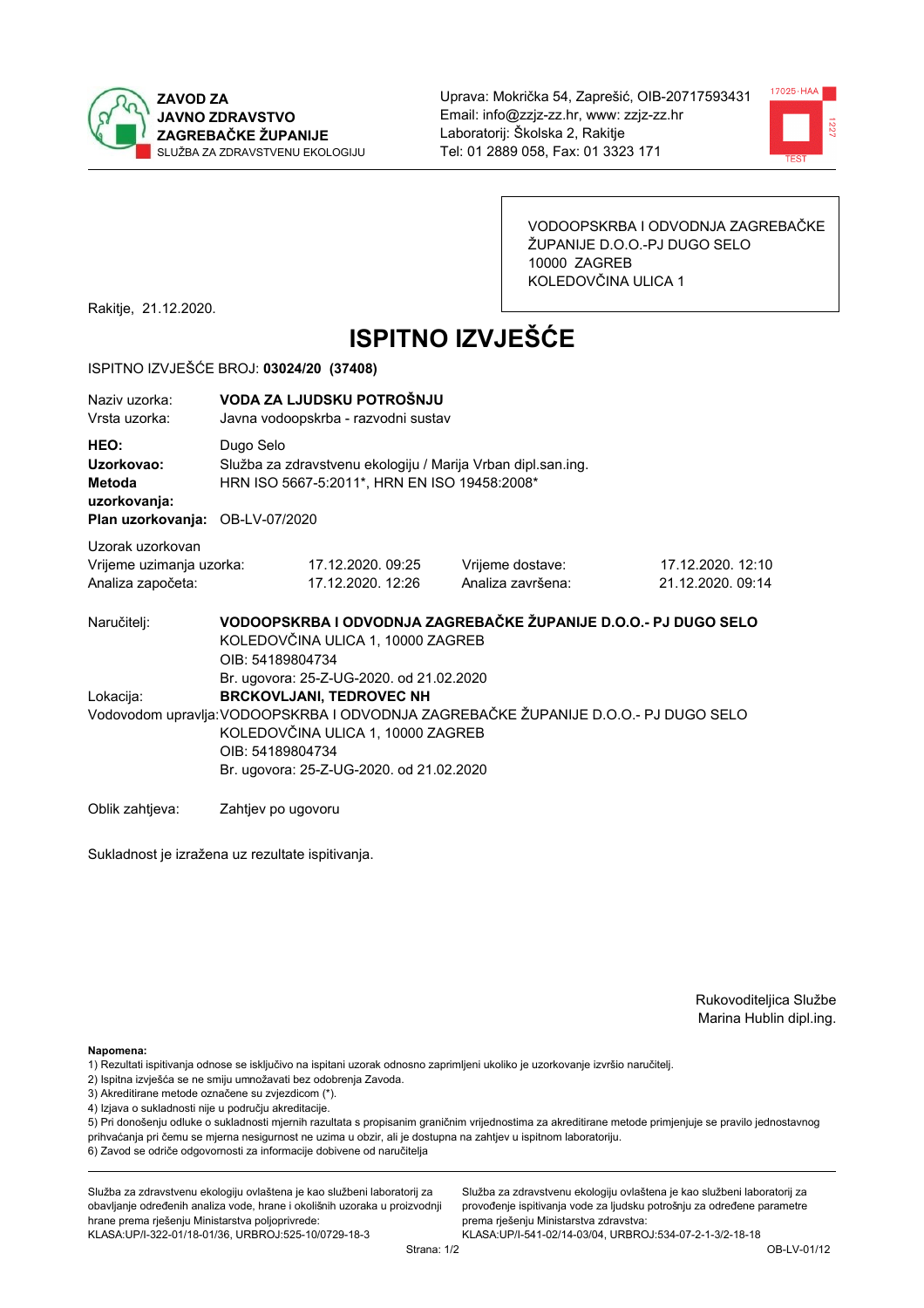



VODOOPSKRBA I ODVODNJA ZAGREBAČKE ŽUPANIJE D.O.O.-PJ DUGO SELO 10000 ZAGREB KOLEDOVČINA ULICA 1

Rakitje, 21.12.2020.

# **ISPITNO IZVJEŠĆE**

#### ISPITNO IZVJEŠĆE BROJ: 03024/20 (37408)

| Naziv uzorka:<br>Vrsta uzorka:                                                  |                                                                                                                                                                                                                                                                         | VODA ZA LJUDSKU POTROŠNJU<br>Javna vodoopskrba - razvodni sustav                                             |                                                                 |                                        |  |  |
|---------------------------------------------------------------------------------|-------------------------------------------------------------------------------------------------------------------------------------------------------------------------------------------------------------------------------------------------------------------------|--------------------------------------------------------------------------------------------------------------|-----------------------------------------------------------------|----------------------------------------|--|--|
| HEO:<br>Uzorkovao:<br>Metoda<br>uzorkovanja:<br>Plan uzorkovanja: OB-LV-07/2020 | Dugo Selo                                                                                                                                                                                                                                                               | Služba za zdravstvenu ekologiju / Marija Vrban dipl.san.ing.<br>HRN ISO 5667-5:2011*, HRN EN ISO 19458:2008* |                                                                 |                                        |  |  |
| Uzorak uzorkovan<br>Vrijeme uzimanja uzorka:<br>Analiza započeta:               |                                                                                                                                                                                                                                                                         | 17.12.2020. 09:25<br>17.12.2020. 12:26                                                                       | Vrijeme dostave:<br>Analiza završena:                           | 17.12.2020. 12:10<br>21.12.2020. 09:14 |  |  |
| Naručitelj:                                                                     | OIB: 54189804734                                                                                                                                                                                                                                                        | KOLEDOVČINA ULICA 1, 10000 ZAGREB                                                                            | VODOOPSKRBA I ODVODNJA ZAGREBAČKE ŽUPANIJE D.O.O.- PJ DUGO SELO |                                        |  |  |
| Lokacija:                                                                       | Br. ugovora: 25-Z-UG-2020. od 21.02.2020<br><b>BRCKOVLJANI, TEDROVEC NH</b><br>Vodovodom upravlja: VODOOPSKRBA I ODVODNJA ZAGREBAČKE ŽUPANIJE D.O.O.- PJ DUGO SELO<br>KOLEDOVČINA ULICA 1, 10000 ZAGREB<br>OIB: 54189804734<br>Br. ugovora: 25-Z-UG-2020. od 21.02.2020 |                                                                                                              |                                                                 |                                        |  |  |
| Oblik zahtieva:                                                                 | Zahtiev po ugovoru                                                                                                                                                                                                                                                      |                                                                                                              |                                                                 |                                        |  |  |

Sukladnost je izražena uz rezultate ispitivanja.

Rukovoditeljica Službe Marina Hublin dipl.ing.

Napomena:

- 1) Rezultati ispitivanja odnose se isključivo na ispitani uzorak odnosno zaprimljeni ukoliko je uzorkovanje izvršio naručiteli.
- 2) Ispitna izvješća se ne smiju umnožavati bez odobrenja Zavoda.
- 3) Akreditirane metode označene su zvjezdicom (\*).
- 4) Izjava o sukladnosti nije u području akreditacije.

5) Pri donošenju odluke o sukladnosti mjernih razultata s propisanim graničnim vrijednostima za akreditirane metode primjenjuje se pravilo jednostavnog prihvaćanja pri čemu se mjerna nesigurnost ne uzima u obzir, ali je dostupna na zahtjev u ispitnom laboratoriju.

6) Zavod se odriče odgovornosti za informacije dobivene od naručitelja

Služba za zdravstvenu ekologiju ovlaštena je kao službeni laboratorij za obavljanje određenih analiza vode, hrane i okolišnih uzoraka u proizvodnji hrane prema rješenju Ministarstva poljoprivrede: KLASA: UP/I-322-01/18-01/36, URBROJ: 525-10/0729-18-3

Služba za zdravstvenu ekologiju ovlaštena je kao službeni laboratorij za provođenje ispitivanja vode za ljudsku potrošnju za određene parametre prema riešenju Ministarstva zdravstva: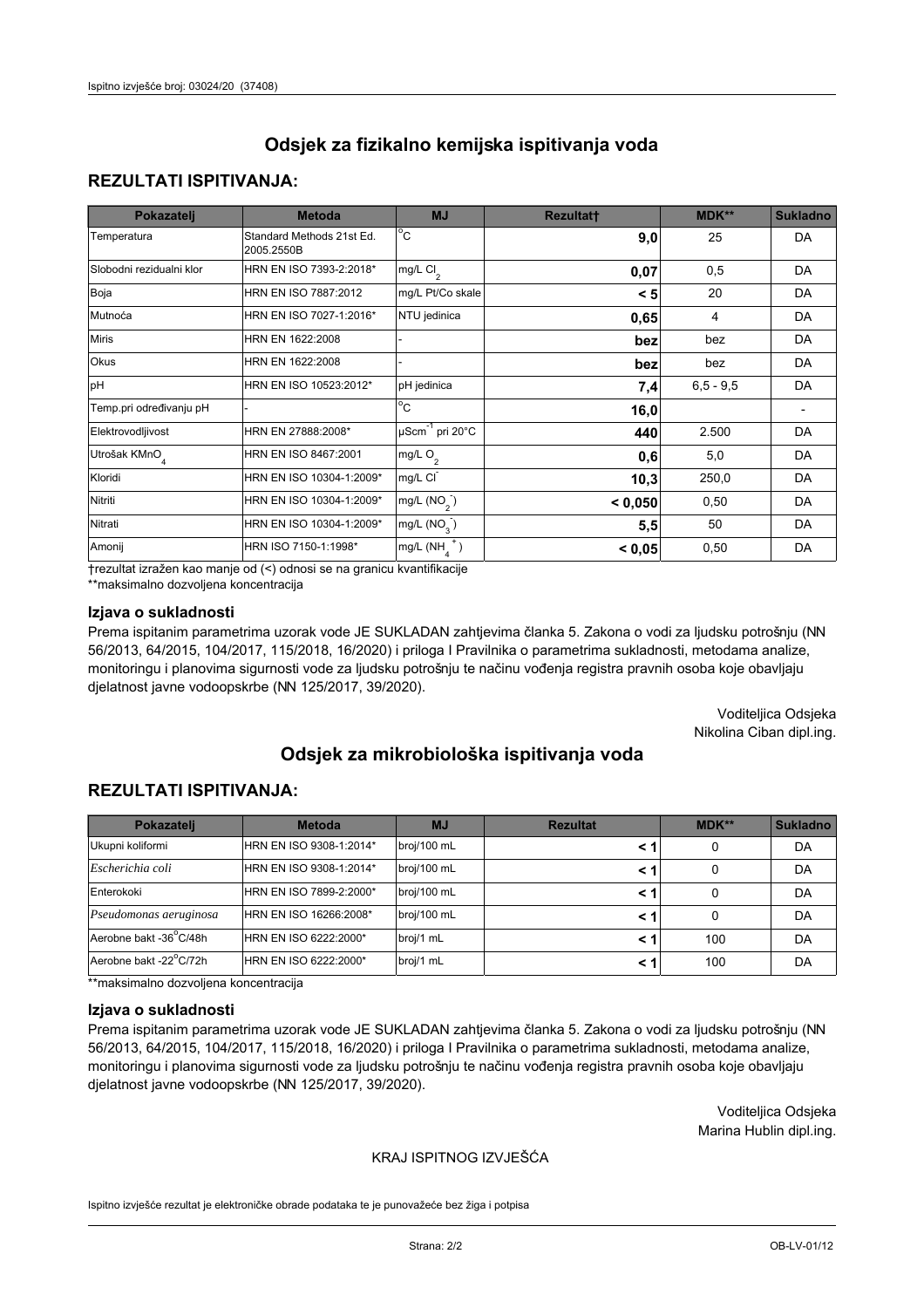## **REZULTATI ISPITIVANJA:**

| Pokazatelj                | <b>Metoda</b>                           | <b>MJ</b>                   | <b>Rezultatt</b> | MDK**       | <b>Sukladno</b> |
|---------------------------|-----------------------------------------|-----------------------------|------------------|-------------|-----------------|
| Temperatura               | Standard Methods 21st Ed.<br>2005.2550B | $^{\circ}$ C                | 9,0              | 25          | DA              |
| Slobodni rezidualni klor  | HRN EN ISO 7393-2:2018*                 | $mg/L$ Cl <sub>2</sub>      | 0,07             | 0,5         | DA              |
| Boja                      | HRN EN ISO 7887:2012                    | mg/L Pt/Co skale            | < 5              | 20          | DA              |
| Mutnoća                   | HRN EN ISO 7027-1:2016*                 | NTU jedinica                | 0,65             | 4           | DA              |
| <b>Miris</b>              | HRN EN 1622:2008                        |                             | bez              | bez         | DA              |
| Okus                      | HRN EN 1622:2008                        |                             | bez              | bez         | DA              |
| pH                        | HRN EN ISO 10523:2012*                  | pH jedinica                 | 7,4              | $6.5 - 9.5$ | DA              |
| Temp.pri određivanju pH   |                                         | $\overline{c}$              | 16,0             |             |                 |
| Elektrovodljivost         | HRN EN 27888:2008*                      | µScm <sup>-1</sup> pri 20°C | 440              | 2.500       | DA              |
| Utrošak KMnO <sub>4</sub> | HRN EN ISO 8467:2001                    | mg/L $O_2$                  | 0,6              | 5,0         | DA              |
| Kloridi                   | HRN EN ISO 10304-1:2009*                | mg/L CI                     | 10,3             | 250,0       | DA              |
| Nitriti                   | HRN EN ISO 10304-1:2009*                | mg/L (NO <sub>2</sub> )     | < 0,050          | 0,50        | DA              |
| Nitrati                   | HRN EN ISO 10304-1:2009*                | mg/L $(NO3)$                | 5,5              | 50          | DA              |
| Amonij                    | HRN ISO 7150-1:1998*                    | mg/L $(NH_A^+)$             | < 0,05           | 0,50        | DA              |

trezultat izražen kao manje od (<) odnosi se na granicu kvantifikacije

\*\*maksimalno dozvoljena koncentracija

## Izjava o sukladnosti

Prema ispitanim parametrima uzorak vode JE SUKLADAN zahtjevima članka 5. Zakona o vodi za ljudsku potrošnju (NN 56/2013, 64/2015, 104/2017, 115/2018, 16/2020) i priloga I Pravilnika o parametrima sukladnosti, metodama analize, monitoringu i planovima sigurnosti vode za ljudsku potrošnju te načinu vođenja registra pravnih osoba koje obavljaju djelatnost javne vodoopskrbe (NN 125/2017, 39/2020).

> Voditeljica Odsjeka Nikolina Ciban dipl.ing.

# Odsiek za mikrobiološka ispitivanja voda

## **REZULTATI ISPITIVANJA:**

| Pokazatelj             | <b>Metoda</b>           | <b>MJ</b>   | <b>Rezultat</b> | MDK** | Sukladno |
|------------------------|-------------------------|-------------|-----------------|-------|----------|
| Ukupni koliformi       | HRN EN ISO 9308-1:2014* | broj/100 mL |                 | 0     | DA       |
| Escherichia coli       | HRN EN ISO 9308-1:2014* | broj/100 mL | < 1             | 0     | DA       |
| Enterokoki             | HRN EN ISO 7899-2:2000* | broj/100 mL | < 1             | 0     | DA       |
| Pseudomonas aeruginosa | HRN EN ISO 16266:2008*  | broj/100 mL | < 1             | 0     | DA       |
| Aerobne bakt -36°C/48h | HRN EN ISO 6222:2000*   | broj/1 mL   | < 1             | 100   | DA       |
| Aerobne bakt -22°C/72h | HRN EN ISO 6222:2000*   | broj/1 mL   | < 1             | 100   | DA       |

\*\*maksimalno dozvoljena koncentracija

#### Izjava o sukladnosti

Prema ispitanim parametrima uzorak vode JE SUKLADAN zahtievima članka 5. Zakona o vodi za ljudsku potrošnju (NN 56/2013, 64/2015, 104/2017, 115/2018, 16/2020) i priloga I Pravilnika o parametrima sukladnosti, metodama analize, monitoringu i planovima sigurnosti vode za ljudsku potrošnju te načinu vođenja registra pravnih osoba koje obavljaju djelatnost javne vodoopskrbe (NN 125/2017, 39/2020).

> Voditeljica Odsjeka Marina Hublin dipl.ing.

## KRAJ ISPITNOG IZVJEŠĆA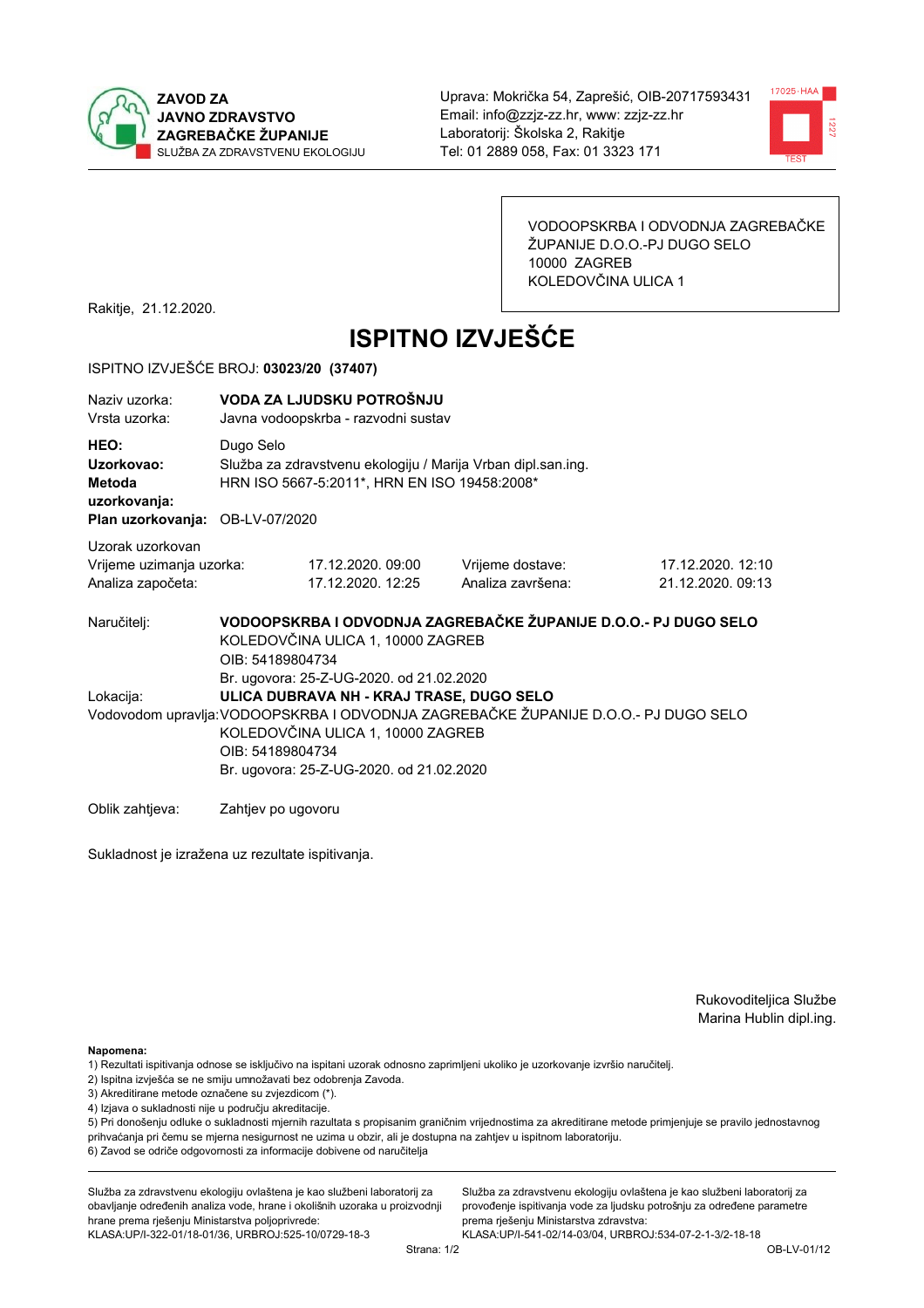



VODOOPSKRBA I ODVODNJA ZAGREBAČKE ŽUPANIJE D.O.O.-PJ DUGO SELO 10000 ZAGREB KOLEDOVČINA ULICA 1

Rakitje, 21.12.2020.

# **ISPITNO IZVJEŠĆE**

#### ISPITNO IZVJEŠĆE BROJ: 03023/20 (37407)

| Naziy uzorka:<br>Vrsta uzorka:                                                  |                    | VODA ZA LJUDSKU POTROŠNJU<br>Javna vodoopskrba - razvodni sustav                                                                                                                                                                                                                 |                                                                 |                                        |  |  |  |
|---------------------------------------------------------------------------------|--------------------|----------------------------------------------------------------------------------------------------------------------------------------------------------------------------------------------------------------------------------------------------------------------------------|-----------------------------------------------------------------|----------------------------------------|--|--|--|
| HEO:<br>Uzorkovao:<br>Metoda<br>uzorkovanja:<br>Plan uzorkovanja: OB-LV-07/2020 | Dugo Selo          | Služba za zdravstvenu ekologiju / Marija Vrban dipl.san.ing.<br>HRN ISO 5667-5:2011*, HRN EN ISO 19458:2008*                                                                                                                                                                     |                                                                 |                                        |  |  |  |
| Uzorak uzorkovan<br>Vrijeme uzimanja uzorka:<br>Analiza započeta:               |                    | 17.12.2020.09:00<br>17.12.2020. 12:25                                                                                                                                                                                                                                            | Vrijeme dostave:<br>Analiza završena:                           | 17.12.2020. 12:10<br>21.12.2020, 09:13 |  |  |  |
| Naručiteli:                                                                     | OIB: 54189804734   | KOLEDOVČINA ULICA 1, 10000 ZAGREB                                                                                                                                                                                                                                                | VODOOPSKRBA I ODVODNJA ZAGREBAČKE ŽUPANIJE D.O.O.- PJ DUGO SELO |                                        |  |  |  |
| Lokacija:                                                                       |                    | Br. ugovora: 25-Z-UG-2020. od 21.02.2020<br>ULICA DUBRAVA NH - KRAJ TRASE, DUGO SELO<br>Vodovodom upravlja: VODOOPSKRBA I ODVODNJA ZAGREBAČKE ŽUPANIJE D.O.O.- PJ DUGO SELO<br>KOLEDOVČINA ULICA 1, 10000 ZAGREB<br>OIB: 54189804734<br>Br. ugovora: 25-Z-UG-2020. od 21.02.2020 |                                                                 |                                        |  |  |  |
| Oblik zahtjeva:                                                                 | Zahtjev po ugovoru |                                                                                                                                                                                                                                                                                  |                                                                 |                                        |  |  |  |

Sukladnost je izražena uz rezultate ispitivanja.

Rukovoditeljica Službe Marina Hublin dipl.ing.

Napomena:

- 1) Rezultati ispitivanja odnose se isključivo na ispitani uzorak odnosno zaprimljeni ukoliko je uzorkovanje izvršio naručiteli.
- 2) Ispitna izvješća se ne smiju umnožavati bez odobrenja Zavoda.
- 3) Akreditirane metode označene su zvjezdicom (\*).
- 4) Izjava o sukladnosti nije u području akreditacije.

5) Pri donošenju odluke o sukladnosti mjernih razultata s propisanim graničnim vrijednostima za akreditirane metode primjenjuje se pravilo jednostavnog prihvaćanja pri čemu se mjerna nesigurnost ne uzima u obzir, ali je dostupna na zahtjev u ispitnom laboratoriju.

6) Zavod se odriče odgovornosti za informacije dobivene od naručitelja

Služba za zdravstvenu ekologiju ovlaštena je kao službeni laboratorij za obavljanje određenih analiza vode, hrane i okolišnih uzoraka u proizvodnji hrane prema rješenju Ministarstva poljoprivrede:

KLASA: UP/I-322-01/18-01/36, URBROJ: 525-10/0729-18-3

Služba za zdravstvenu ekologiju ovlaštena je kao službeni laboratorij za provođenje ispitivanja vode za ljudsku potrošnju za određene parametre prema riešenju Ministarstva zdravstva: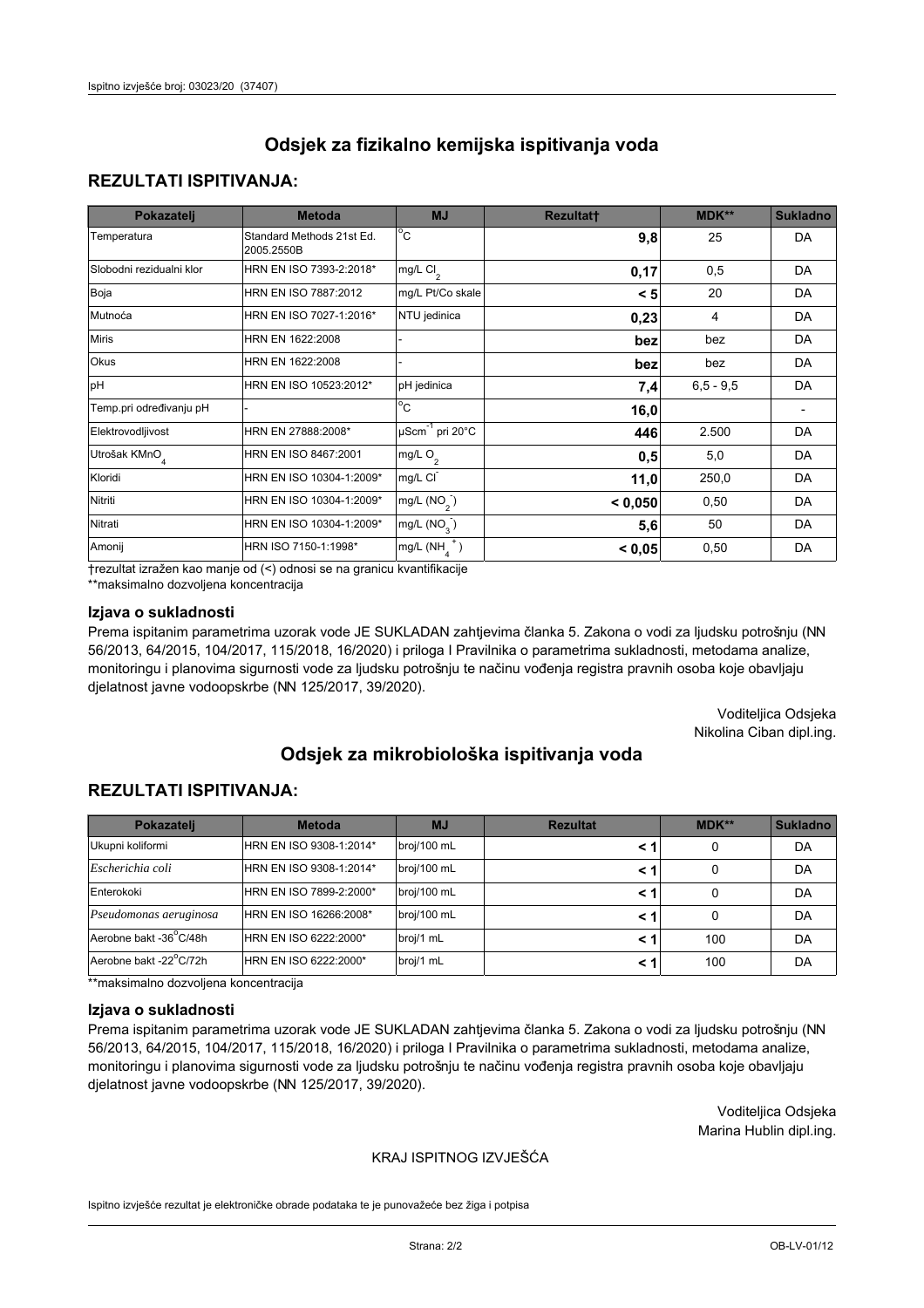## **REZULTATI ISPITIVANJA:**

| Pokazatelj                | <b>Metoda</b>                           | <b>MJ</b>                   | <b>Rezultatt</b> | MDK**       | <b>Sukladno</b> |
|---------------------------|-----------------------------------------|-----------------------------|------------------|-------------|-----------------|
| Temperatura               | Standard Methods 21st Ed.<br>2005.2550B | $^{\circ}$ C                | 9,8              | 25          | <b>DA</b>       |
| Slobodni rezidualni klor  | HRN EN ISO 7393-2:2018*                 | $mg/L$ Cl <sub>2</sub>      | 0,17             | 0,5         | <b>DA</b>       |
| Boja                      | HRN EN ISO 7887:2012                    | mg/L Pt/Co skale            | < 5              | 20          | DA              |
| Mutnoća                   | HRN EN ISO 7027-1:2016*                 | NTU jedinica                | 0,23             | 4           | DA              |
| <b>Miris</b>              | HRN EN 1622:2008                        |                             | bez              | bez         | DA              |
| Okus                      | HRN EN 1622:2008                        |                             | bez              | bez         | DA              |
| pH                        | HRN EN ISO 10523:2012*                  | pH jedinica                 | 7,4              | $6,5 - 9,5$ | <b>DA</b>       |
| Temp.pri određivanju pH   |                                         | $\overline{c}$              | 16,0             |             |                 |
| Elektrovodljivost         | HRN EN 27888:2008*                      | µScm <sup>-1</sup> pri 20°C | 446              | 2.500       | DA              |
| Utrošak KMnO <sub>4</sub> | HRN EN ISO 8467:2001                    | mg/L O <sub>2</sub>         | 0,5              | 5,0         | DA              |
| Kloridi                   | HRN EN ISO 10304-1:2009*                | mg/L CI                     | 11,0             | 250,0       | DA              |
| Nitriti                   | HRN EN ISO 10304-1:2009*                | mg/L $(NO2)$                | < 0,050          | 0,50        | DA              |
| Nitrati                   | HRN EN ISO 10304-1:2009*                | mg/L (NO <sub>3</sub> )     | 5,6              | 50          | DA              |
| Amonij                    | HRN ISO 7150-1:1998*                    | $mg/L(NH_A^+)$              | < 0,05           | 0,50        | DA              |

trezultat izražen kao manje od (<) odnosi se na granicu kvantifikacije

\*\*maksimalno dozvoljena koncentracija

## Izjava o sukladnosti

Prema ispitanim parametrima uzorak vode JE SUKLADAN zahtjevima članka 5. Zakona o vodi za ljudsku potrošnju (NN 56/2013, 64/2015, 104/2017, 115/2018, 16/2020) i priloga I Pravilnika o parametrima sukladnosti, metodama analize, monitoringu i planovima sigurnosti vode za ljudsku potrošnju te načinu vođenja registra pravnih osoba koje obavljaju djelatnost javne vodoopskrbe (NN 125/2017, 39/2020).

> Voditeljica Odsjeka Nikolina Ciban dipl.ing.

# Odsiek za mikrobiološka ispitivanja voda

## **REZULTATI ISPITIVANJA:**

| Pokazatelj             | <b>Metoda</b>           | <b>MJ</b>   | <b>Rezultat</b> | MDK** | Sukladno |
|------------------------|-------------------------|-------------|-----------------|-------|----------|
| Ukupni koliformi       | HRN EN ISO 9308-1:2014* | broj/100 mL |                 | 0     | DA       |
| Escherichia coli       | HRN EN ISO 9308-1:2014* | broj/100 mL | < 1             | 0     | DA       |
| Enterokoki             | HRN EN ISO 7899-2:2000* | broj/100 mL | < 1             | 0     | DA       |
| Pseudomonas aeruginosa | HRN EN ISO 16266:2008*  | broj/100 mL | < 1             | 0     | DA       |
| Aerobne bakt -36°C/48h | HRN EN ISO 6222:2000*   | broj/1 mL   | < 1             | 100   | DA       |
| Aerobne bakt -22°C/72h | HRN EN ISO 6222:2000*   | broj/1 mL   | < 1             | 100   | DA       |

\*\*maksimalno dozvoljena koncentracija

#### Izjava o sukladnosti

Prema ispitanim parametrima uzorak vode JE SUKLADAN zahtievima članka 5. Zakona o vodi za ljudsku potrošnju (NN 56/2013, 64/2015, 104/2017, 115/2018, 16/2020) i priloga I Pravilnika o parametrima sukladnosti, metodama analize, monitoringu i planovima sigurnosti vode za ljudsku potrošnju te načinu vođenja registra pravnih osoba koje obavljaju djelatnost javne vodoopskrbe (NN 125/2017, 39/2020).

> Voditeljica Odsjeka Marina Hublin dipl.ing.

## KRAJ ISPITNOG IZVJEŠĆA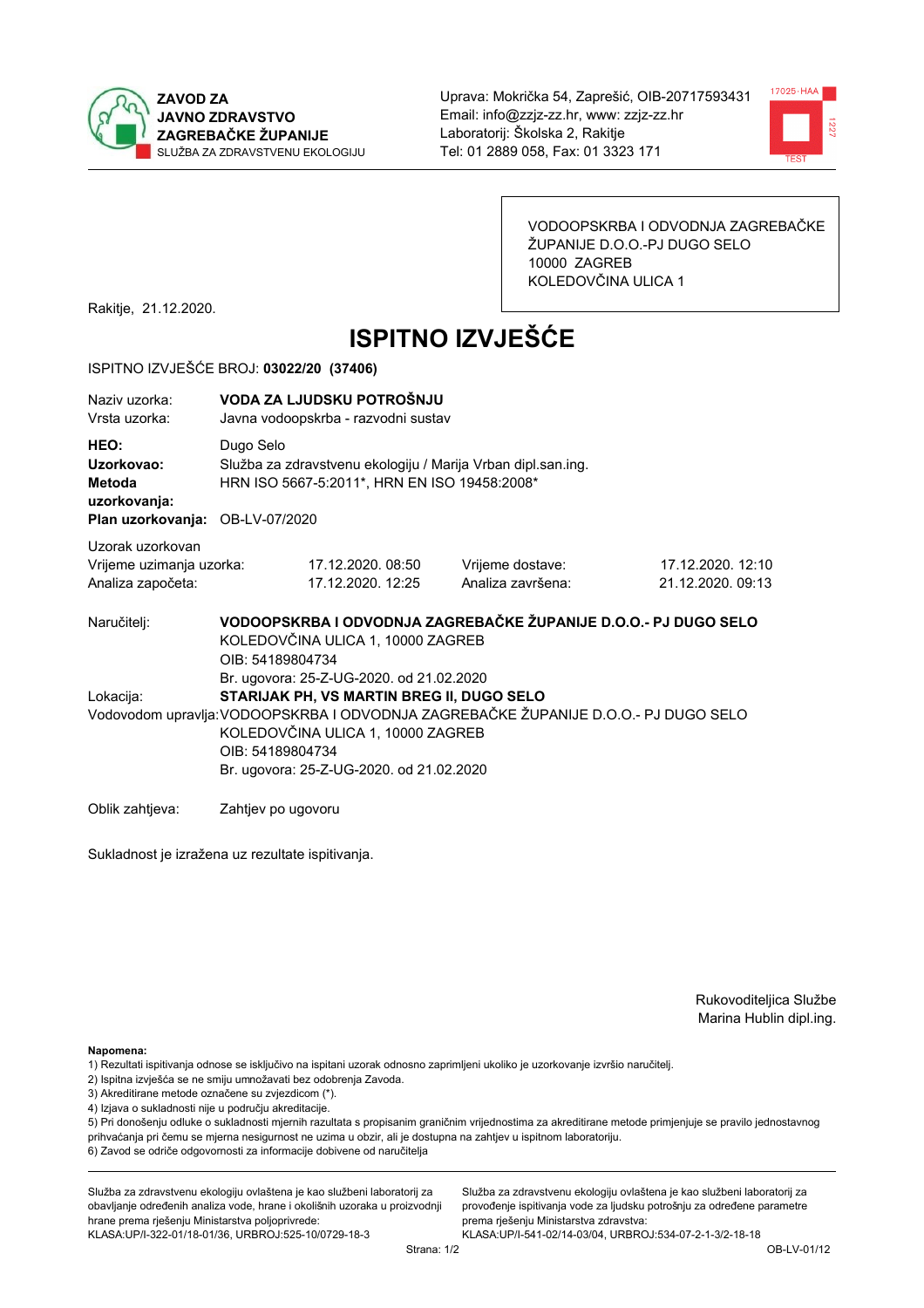



VODOOPSKRBA I ODVODNJA ZAGREBAČKE ŽUPANIJE D.O.O.-PJ DUGO SELO 10000 ZAGREB KOLEDOVČINA ULICA 1

Rakitje, 21.12.2020.

# **ISPITNO IZVJEŠĆE**

#### ISPITNO IZVJEŠĆE BROJ: 03022/20 (37406)

| Naziy uzorka:<br>Vrsta uzorka:                                                  |                                                                                                                                                                                                                                                                                   | VODA ZA LJUDSKU POTROŠNJU<br>Javna vodoopskrba - razvodni sustav                                             |                                                                 |                                        |  |  |
|---------------------------------------------------------------------------------|-----------------------------------------------------------------------------------------------------------------------------------------------------------------------------------------------------------------------------------------------------------------------------------|--------------------------------------------------------------------------------------------------------------|-----------------------------------------------------------------|----------------------------------------|--|--|
| HEO:<br>Uzorkovao:<br>Metoda<br>uzorkovanja:<br>Plan uzorkovanja: OB-LV-07/2020 | Dugo Selo                                                                                                                                                                                                                                                                         | Služba za zdravstvenu ekologiju / Marija Vrban dipl.san.ing.<br>HRN ISO 5667-5:2011*, HRN EN ISO 19458:2008* |                                                                 |                                        |  |  |
|                                                                                 |                                                                                                                                                                                                                                                                                   |                                                                                                              |                                                                 |                                        |  |  |
| Uzorak uzorkovan<br>Vrijeme uzimanja uzorka:<br>Analiza započeta:               |                                                                                                                                                                                                                                                                                   | 17.12.2020.08:50<br>17.12.2020. 12:25                                                                        | Vrijeme dostave:<br>Analiza završena:                           | 17.12.2020. 12:10<br>21.12.2020, 09:13 |  |  |
| Naručitelj:                                                                     | OIB: 54189804734                                                                                                                                                                                                                                                                  | KOLEDOVČINA ULICA 1, 10000 ZAGREB                                                                            | VODOOPSKRBA I ODVODNJA ZAGREBAČKE ŽUPANIJE D.O.O.- PJ DUGO SELO |                                        |  |  |
| Lokacija:                                                                       | Br. ugovora: 25-Z-UG-2020. od 21.02.2020<br>STARIJAK PH, VS MARTIN BREG II, DUGO SELO<br>Vodovodom upravlja: VODOOPSKRBA I ODVODNJA ZAGREBAČKE ŽUPANIJE D.O.O.- PJ DUGO SELO<br>KOLEDOVČINA ULICA 1, 10000 ZAGREB<br>OIB: 54189804734<br>Br. ugovora: 25-Z-UG-2020. od 21.02.2020 |                                                                                                              |                                                                 |                                        |  |  |
| Oblik zahtieva:                                                                 | Zahtjev po ugovoru                                                                                                                                                                                                                                                                |                                                                                                              |                                                                 |                                        |  |  |

Sukladnost je izražena uz rezultate ispitivanja.

Rukovoditeljica Službe Marina Hublin dipl.ing.

Napomena:

- 1) Rezultati ispitivanja odnose se isključivo na ispitani uzorak odnosno zaprimljeni ukoliko je uzorkovanje izvršio naručiteli.
- 2) Ispitna izvješća se ne smiju umnožavati bez odobrenja Zavoda.
- 3) Akreditirane metode označene su zvjezdicom (\*).
- 4) Izjava o sukladnosti nije u području akreditacije.

5) Pri donošenju odluke o sukladnosti mjernih razultata s propisanim graničnim vrijednostima za akreditirane metode primjenjuje se pravilo jednostavnog prihvaćanja pri čemu se mjerna nesigurnost ne uzima u obzir, ali je dostupna na zahtjev u ispitnom laboratoriju.

6) Zavod se odriče odgovornosti za informacije dobivene od naručitelja

Služba za zdravstvenu ekologiju ovlaštena je kao službeni laboratorij za obavljanje određenih analiza vode, hrane i okolišnih uzoraka u proizvodnji hrane prema rješenju Ministarstva poljoprivrede:

KLASA: UP/I-322-01/18-01/36, URBROJ: 525-10/0729-18-3

Služba za zdravstvenu ekologiju ovlaštena je kao službeni laboratorij za provođenje ispitivanja vode za ljudsku potrošnju za određene parametre prema riešenju Ministarstva zdravstva: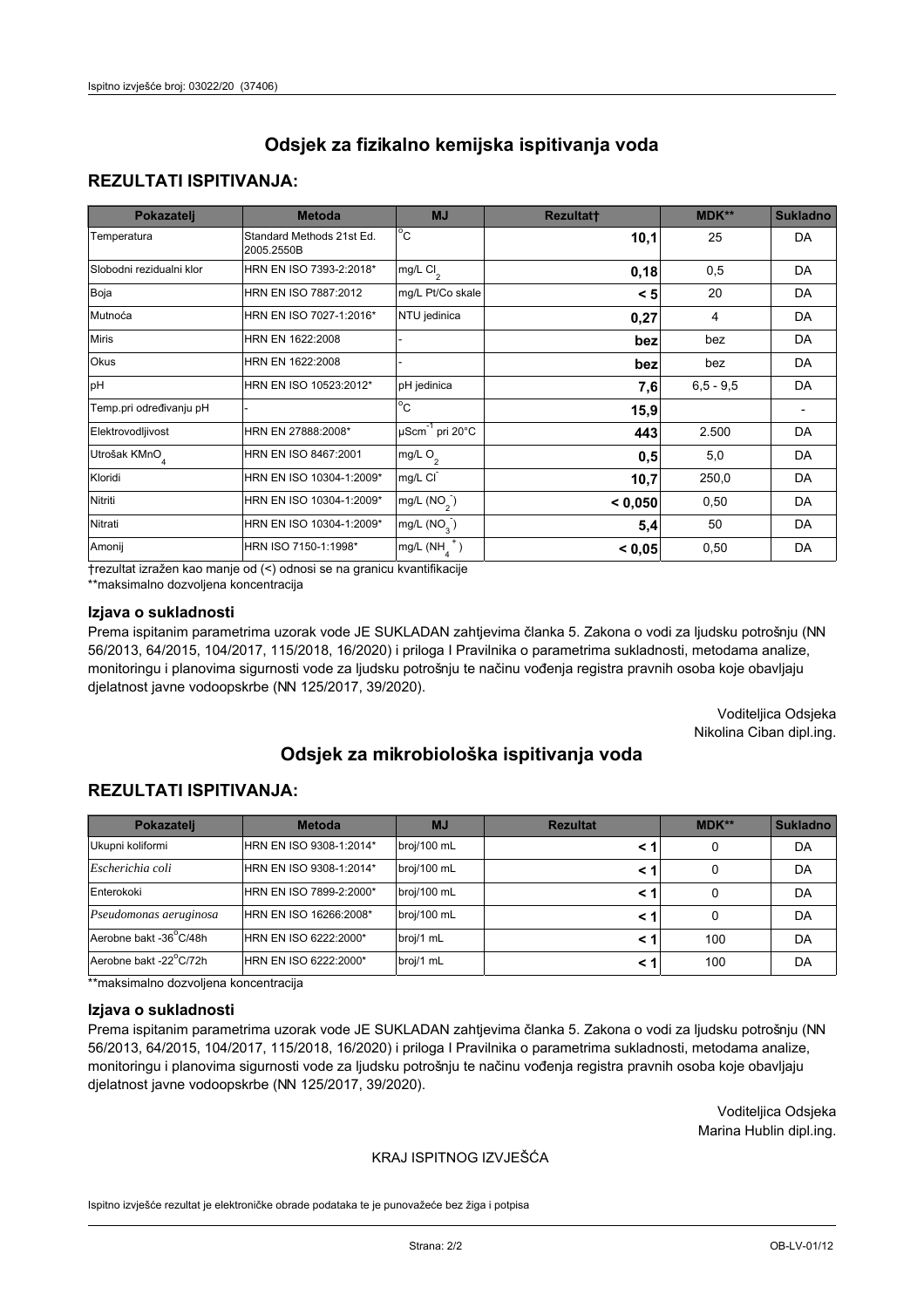## **REZULTATI ISPITIVANJA:**

| Pokazatelj                | <b>Metoda</b>                           | <b>MJ</b>                   | <b>Rezultatt</b> | <b>MDK**</b> | <b>Sukladno</b> |
|---------------------------|-----------------------------------------|-----------------------------|------------------|--------------|-----------------|
| Temperatura               | Standard Methods 21st Ed.<br>2005.2550B | $^{\circ}$ C                | 10,1             | 25           | <b>DA</b>       |
| Slobodni rezidualni klor  | HRN EN ISO 7393-2:2018*                 | mg/L $Cl_2$                 | 0,18             | 0,5          | DA              |
| Boja                      | HRN EN ISO 7887:2012                    | mg/L Pt/Co skale            | < 5              | 20           | <b>DA</b>       |
| Mutnoća                   | HRN EN ISO 7027-1:2016*                 | NTU jedinica                | 0,27             | 4            | DA              |
| <b>Miris</b>              | HRN EN 1622:2008                        |                             | bez              | bez          | DA              |
| Okus                      | HRN EN 1622:2008                        |                             | bez              | bez          | DA              |
| pH                        | HRN EN ISO 10523:2012*                  | pH jedinica                 | 7,6              | $6.5 - 9.5$  | <b>DA</b>       |
| Temp.pri određivanju pH   |                                         | $\overline{c}$              | 15,9             |              |                 |
| Elektrovodljivost         | HRN EN 27888:2008*                      | µScm <sup>-1</sup> pri 20°C | 443              | 2.500        | DA              |
| Utrošak KMnO <sub>4</sub> | HRN EN ISO 8467:2001                    | mg/L O <sub>2</sub>         | 0,5              | 5,0          | DA              |
| Kloridi                   | HRN EN ISO 10304-1:2009*                | mg/L CI                     | 10,7             | 250,0        | DA              |
| Nitriti                   | HRN EN ISO 10304-1:2009*                | mg/L $(NO2)$                | < 0,050          | 0,50         | DA              |
| Nitrati                   | HRN EN ISO 10304-1:2009*                | mg/L $(NO3)$                | 5,4              | 50           | DA              |
| Amonij                    | HRN ISO 7150-1:1998*                    | mg/L $(NH_A^+)$             | < 0,05           | 0,50         | DA              |

trezultat izražen kao manje od (<) odnosi se na granicu kvantifikacije

\*\*maksimalno dozvoljena koncentracija

## Izjava o sukladnosti

Prema ispitanim parametrima uzorak vode JE SUKLADAN zahtjevima članka 5. Zakona o vodi za ljudsku potrošnju (NN 56/2013, 64/2015, 104/2017, 115/2018, 16/2020) i priloga I Pravilnika o parametrima sukladnosti, metodama analize, monitoringu i planovima sigurnosti vode za ljudsku potrošnju te načinu vođenja registra pravnih osoba koje obavljaju djelatnost javne vodoopskrbe (NN 125/2017, 39/2020).

> Voditeljica Odsjeka Nikolina Ciban dipl.ing.

# Odsiek za mikrobiološka ispitivanja voda

## **REZULTATI ISPITIVANJA:**

| Pokazatelj             | <b>Metoda</b>           | <b>MJ</b>   | <b>Rezultat</b> | MDK** | <b>Sukladno</b> |
|------------------------|-------------------------|-------------|-----------------|-------|-----------------|
| Ukupni koliformi       | HRN EN ISO 9308-1:2014* | broj/100 mL |                 | 0     | DA              |
| Escherichia coli       | HRN EN ISO 9308-1:2014* | broj/100 mL | < 1             | 0     | DA              |
| Enterokoki             | HRN EN ISO 7899-2:2000* | broj/100 mL | < 1             | 0     | DA              |
| Pseudomonas aeruginosa | HRN EN ISO 16266:2008*  | broj/100 mL | < 1             | 0     | DA              |
| Aerobne bakt -36°C/48h | HRN EN ISO 6222:2000*   | broj/1 mL   | < 1             | 100   | DA              |
| Aerobne bakt -22°C/72h | HRN EN ISO 6222:2000*   | broj/1 mL   | < 1             | 100   | DA              |

\*\*maksimalno dozvoljena koncentracija

#### Izjava o sukladnosti

Prema ispitanim parametrima uzorak vode JE SUKLADAN zahtievima članka 5. Zakona o vodi za ljudsku potrošnju (NN 56/2013, 64/2015, 104/2017, 115/2018, 16/2020) i priloga I Pravilnika o parametrima sukladnosti, metodama analize, monitoringu i planovima sigurnosti vode za ljudsku potrošnju te načinu vođenja registra pravnih osoba koje obavljaju djelatnost javne vodoopskrbe (NN 125/2017, 39/2020).

> Voditeljica Odsjeka Marina Hublin dipl.ing.

## KRAJ ISPITNOG IZVJEŠĆA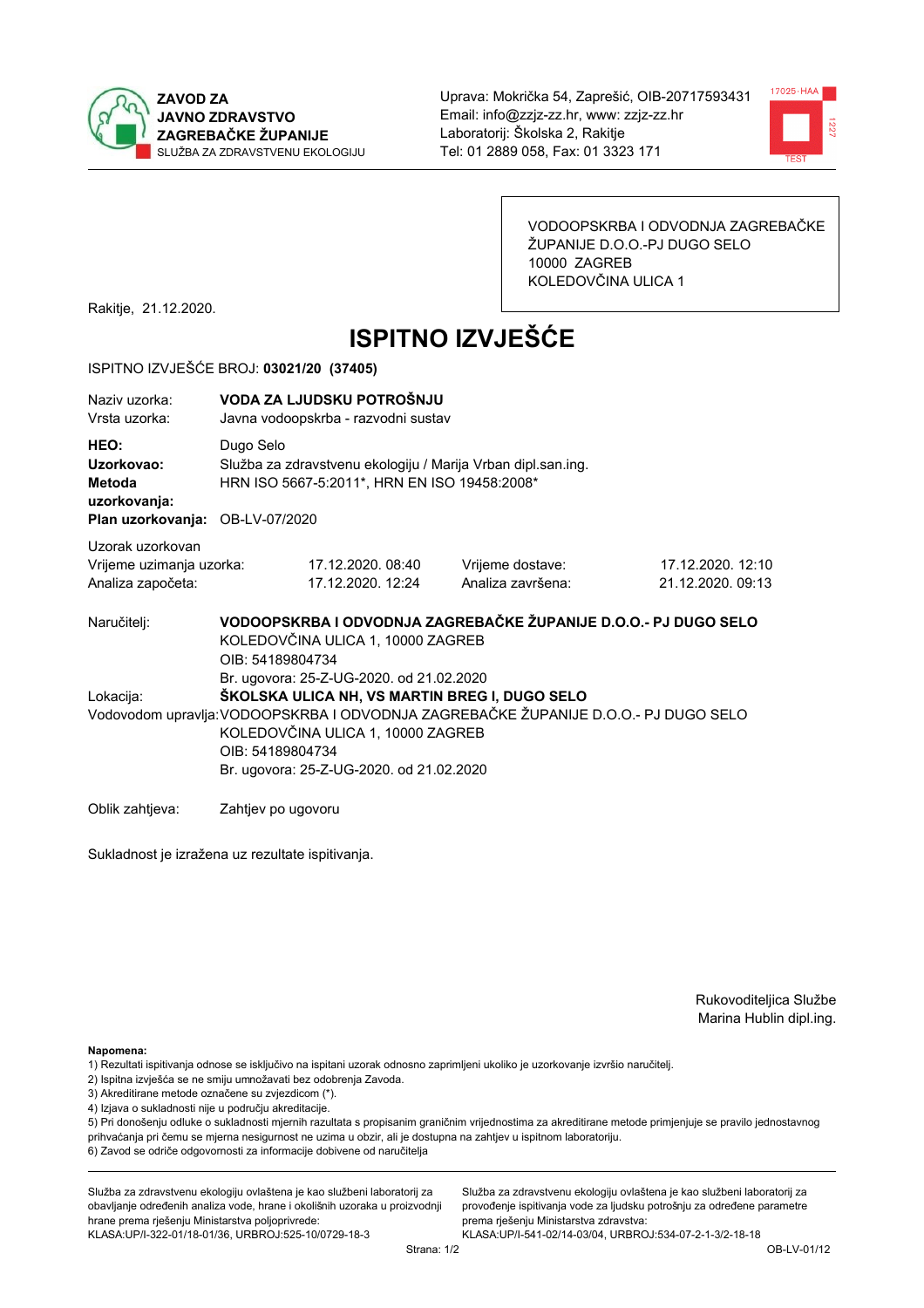



VODOOPSKRBA I ODVODNJA ZAGREBAČKE ŽUPANIJE D.O.O.-PJ DUGO SELO 10000 ZAGREB KOLEDOVČINA ULICA 1

Rakitje, 21.12.2020.

# **ISPITNO IZVJEŠĆE**

#### ISPITNO IZVJEŠĆE BROJ: 03021/20 (37405)

| Naziy uzorka:<br>Vrsta uzorka:                                                  | VODA ZA LJUDSKU POTROŠNJU<br>Javna vodoopskrba - razvodni sustav                                                          |                                                                                                                                                                                                                                                                                       |                                       |                                        |  |  |  |
|---------------------------------------------------------------------------------|---------------------------------------------------------------------------------------------------------------------------|---------------------------------------------------------------------------------------------------------------------------------------------------------------------------------------------------------------------------------------------------------------------------------------|---------------------------------------|----------------------------------------|--|--|--|
| HEO:<br>Uzorkovao:<br>Metoda<br>uzorkovanja:<br>Plan uzorkovanja: OB-LV-07/2020 | Dugo Selo<br>Služba za zdravstvenu ekologiju / Marija Vrban dipl.san.ing.<br>HRN ISO 5667-5:2011*, HRN EN ISO 19458:2008* |                                                                                                                                                                                                                                                                                       |                                       |                                        |  |  |  |
| Uzorak uzorkovan<br>Vrijeme uzimanja uzorka:<br>Analiza započeta:               |                                                                                                                           | 17.12.2020. 08:40<br>17.12.2020. 12:24                                                                                                                                                                                                                                                | Vrijeme dostave:<br>Analiza završena: | 17.12.2020. 12:10<br>21.12.2020. 09:13 |  |  |  |
| Naručitelj:                                                                     | VODOOPSKRBA I ODVODNJA ZAGREBAČKE ŽUPANIJE D.O.O.- PJ DUGO SELO<br>KOLEDOVČINA ULICA 1, 10000 ZAGREB<br>OIB: 54189804734  |                                                                                                                                                                                                                                                                                       |                                       |                                        |  |  |  |
| Lokacija:                                                                       |                                                                                                                           | Br. ugovora: 25-Z-UG-2020. od 21.02.2020<br>ŠKOLSKA ULICA NH, VS MARTIN BREG I, DUGO SELO<br>Vodovodom upravlja: VODOOPSKRBA I ODVODNJA ZAGREBAČKE ŽUPANIJE D.O.O.- PJ DUGO SELO<br>KOLEDOVČINA ULICA 1, 10000 ZAGREB<br>OIB: 54189804734<br>Br. ugovora: 25-Z-UG-2020. od 21.02.2020 |                                       |                                        |  |  |  |

Oblik zahtjeva: Zahtjev po ugovoru

Sukladnost je izražena uz rezultate ispitivanja.

Rukovoditeljica Službe Marina Hublin dipl.ing.

Napomena:

- 1) Rezultati ispitivanja odnose se isključivo na ispitani uzorak odnosno zaprimljeni ukoliko je uzorkovanje izvršio naručiteli.
- 2) Ispitna izvješća se ne smiju umnožavati bez odobrenja Zavoda.
- 3) Akreditirane metode označene su zvjezdicom (\*).
- 4) Izjava o sukladnosti nije u području akreditacije.

5) Pri donošenju odluke o sukladnosti mjernih razultata s propisanim graničnim vrijednostima za akreditirane metode primjenjuje se pravilo jednostavnog prihvaćanja pri čemu se mjerna nesigurnost ne uzima u obzir, ali je dostupna na zahtjev u ispitnom laboratoriju.

6) Zavod se odriče odgovornosti za informacije dobivene od naručitelja

Služba za zdravstvenu ekologiju ovlaštena je kao službeni laboratorij za obavljanje određenih analiza vode, hrane i okolišnih uzoraka u proizvodnji hrane prema rješenju Ministarstva poljoprivrede:

KLASA: UP/I-322-01/18-01/36, URBROJ: 525-10/0729-18-3

Služba za zdravstvenu ekologiju ovlaštena je kao službeni laboratorij za provođenje ispitivanja vode za ljudsku potrošnju za određene parametre prema riešenju Ministarstva zdravstva: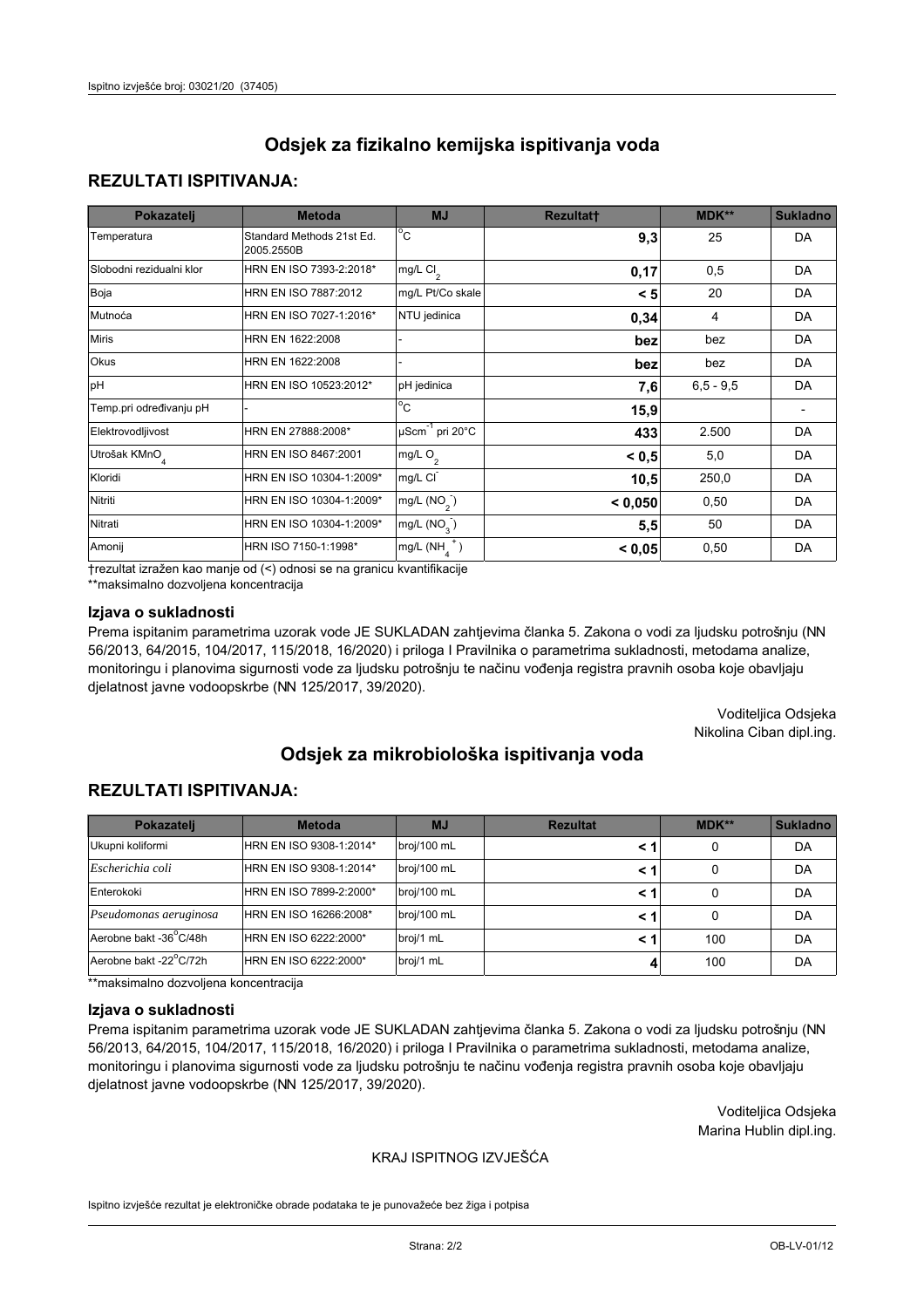## **REZULTATI ISPITIVANJA:**

| Pokazatelj                | <b>Metoda</b>                           | <b>MJ</b>                   | <b>Rezultatt</b> | <b>MDK**</b> | <b>Sukladno</b> |
|---------------------------|-----------------------------------------|-----------------------------|------------------|--------------|-----------------|
| Temperatura               | Standard Methods 21st Ed.<br>2005.2550B | $^{\circ}$ C                | 9,3              | 25           | <b>DA</b>       |
| Slobodni rezidualni klor  | HRN EN ISO 7393-2:2018*                 | mg/L $Cl_2$                 | 0,17             | 0,5          | DA              |
| Boja                      | HRN EN ISO 7887:2012                    | mg/L Pt/Co skale            | < 5              | 20           | <b>DA</b>       |
| Mutnoća                   | HRN EN ISO 7027-1:2016*                 | NTU jedinica                | 0,34             | 4            | DA              |
| <b>Miris</b>              | HRN EN 1622:2008                        |                             | bez              | bez          | DA              |
| Okus                      | HRN EN 1622:2008                        |                             | bez              | bez          | DA              |
| pH                        | HRN EN ISO 10523:2012*                  | pH jedinica                 | 7,6              | $6.5 - 9.5$  | <b>DA</b>       |
| Temp.pri određivanju pH   |                                         | $\overline{c}$              | 15,9             |              |                 |
| Elektrovodljivost         | HRN EN 27888:2008*                      | µScm <sup>-1</sup> pri 20°C | 433              | 2.500        | DA              |
| Utrošak KMnO <sub>4</sub> | HRN EN ISO 8467:2001                    | mg/L O <sub>2</sub>         | < 0.5            | 5,0          | DA              |
| Kloridi                   | HRN EN ISO 10304-1:2009*                | mg/L CI                     | 10,5             | 250,0        | DA              |
| Nitriti                   | HRN EN ISO 10304-1:2009*                | mg/L $(NO2)$                | < 0,050          | 0,50         | DA              |
| Nitrati                   | HRN EN ISO 10304-1:2009*                | mg/L $(NO3)$                | 5,5              | 50           | DA              |
| Amonij                    | HRN ISO 7150-1:1998*                    | mg/L $(NH_A^+)$             | < 0,05           | 0,50         | DA              |

trezultat izražen kao manje od (<) odnosi se na granicu kvantifikacije

\*\*maksimalno dozvoljena koncentracija

## Izjava o sukladnosti

Prema ispitanim parametrima uzorak vode JE SUKLADAN zahtjevima članka 5. Zakona o vodi za ljudsku potrošnju (NN 56/2013, 64/2015, 104/2017, 115/2018, 16/2020) i priloga I Pravilnika o parametrima sukladnosti, metodama analize, monitoringu i planovima sigurnosti vode za ljudsku potrošnju te načinu vođenja registra pravnih osoba koje obavljaju djelatnost javne vodoopskrbe (NN 125/2017, 39/2020).

> Voditeljica Odsjeka Nikolina Ciban dipl.ing.

# Odsiek za mikrobiološka ispitivanja voda

## **REZULTATI ISPITIVANJA:**

| Pokazatelj             | <b>Metoda</b>           | <b>MJ</b>   | <b>Rezultat</b> | MDK** | <b>Sukladno</b> |
|------------------------|-------------------------|-------------|-----------------|-------|-----------------|
| Ukupni koliformi       | HRN EN ISO 9308-1:2014* | broj/100 mL |                 | 0     | DA              |
| Escherichia coli       | HRN EN ISO 9308-1:2014* | broj/100 mL | < 1             | 0     | DA              |
| Enterokoki             | HRN EN ISO 7899-2:2000* | broj/100 mL | < 1             | 0     | DA              |
| Pseudomonas aeruginosa | HRN EN ISO 16266:2008*  | broj/100 mL | < 1             | 0     | DA              |
| Aerobne bakt -36°C/48h | HRN EN ISO 6222:2000*   | broj/1 mL   | < 1             | 100   | DA              |
| Aerobne bakt -22°C/72h | HRN EN ISO 6222:2000*   | broj/1 mL   |                 | 100   | DA              |

\*\*maksimalno dozvoljena koncentracija

#### Izjava o sukladnosti

Prema ispitanim parametrima uzorak vode JE SUKLADAN zahtievima članka 5. Zakona o vodi za ljudsku potrošnju (NN 56/2013, 64/2015, 104/2017, 115/2018, 16/2020) i priloga I Pravilnika o parametrima sukladnosti, metodama analize, monitoringu i planovima sigurnosti vode za ljudsku potrošnju te načinu vođenja registra pravnih osoba koje obavljaju djelatnost javne vodoopskrbe (NN 125/2017, 39/2020).

> Voditeljica Odsjeka Marina Hublin dipl.ing.

## KRAJ ISPITNOG IZVJEŠĆA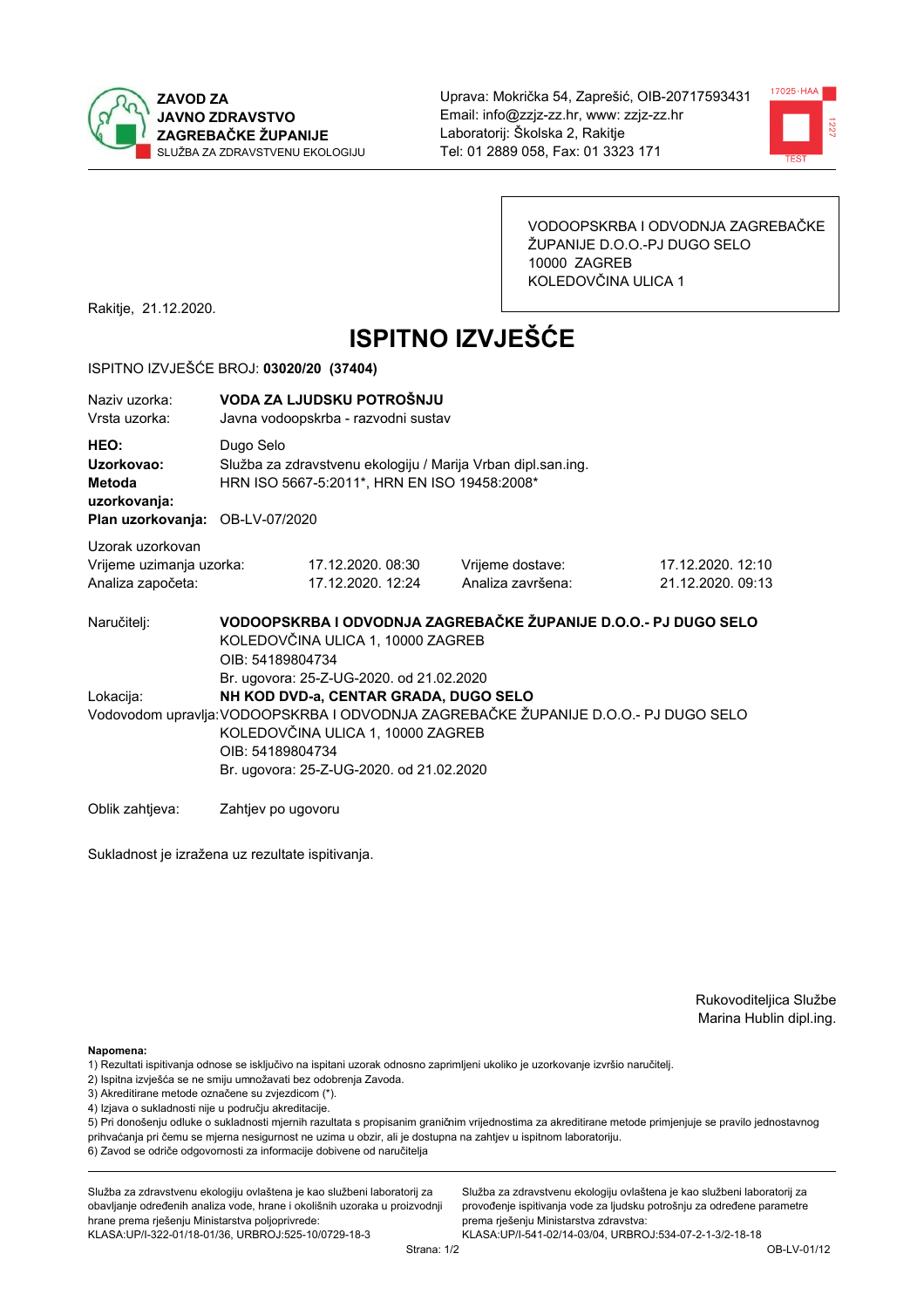



VODOOPSKRBA I ODVODNJA ZAGREBAČKE ŽUPANIJE D.O.O.-PJ DUGO SELO 10000 ZAGREB KOLEDOVČINA ULICA 1

Rakitje, 21.12.2020.

# **ISPITNO IZVJEŠĆE**

#### ISPITNO IZVJEŠĆE BROJ: 03020/20 (37404)

| Naziv uzorka:<br>Vrsta uzorka:                                                  | VODA ZA LJUDSKU POTROŠNJU<br>Javna vodoopskrba - razvodni sustav                                                                                                                                                                  |                                                                                                              |                                       |                                        |  |  |  |
|---------------------------------------------------------------------------------|-----------------------------------------------------------------------------------------------------------------------------------------------------------------------------------------------------------------------------------|--------------------------------------------------------------------------------------------------------------|---------------------------------------|----------------------------------------|--|--|--|
| HEO:<br>Uzorkovao:<br>Metoda<br>uzorkovanja:<br>Plan uzorkovanja: OB-LV-07/2020 | Dugo Selo                                                                                                                                                                                                                         | Služba za zdravstvenu ekologiju / Marija Vrban dipl.san.ing.<br>HRN ISO 5667-5:2011*, HRN EN ISO 19458:2008* |                                       |                                        |  |  |  |
| Uzorak uzorkovan<br>Vrijeme uzimanja uzorka:<br>Analiza započeta:               |                                                                                                                                                                                                                                   | 17.12.2020. 08:30<br>17.12.2020. 12:24                                                                       | Vrijeme dostave:<br>Analiza završena: | 17.12.2020. 12:10<br>21.12.2020. 09:13 |  |  |  |
| Naručitelj:                                                                     | VODOOPSKRBA I ODVODNJA ZAGREBAČKE ŽUPANIJE D.O.O.- PJ DUGO SELO<br>KOLEDOVČINA ULICA 1, 10000 ZAGREB<br>OIB: 54189804734<br>Br. ugovora: 25-Z-UG-2020. od 21.02.2020                                                              |                                                                                                              |                                       |                                        |  |  |  |
| Lokacija:                                                                       | NH KOD DVD-a, CENTAR GRADA, DUGO SELO<br>Vodovodom upravlja: VODOOPSKRBA I ODVODNJA ZAGREBAČKE ŽUPANIJE D.O.O.- PJ DUGO SELO<br>KOLEDOVČINA ULICA 1, 10000 ZAGREB<br>OIB: 54189804734<br>Br. ugovora: 25-Z-UG-2020. od 21.02.2020 |                                                                                                              |                                       |                                        |  |  |  |
| Oblik zahtieva:                                                                 | Zahtjev po ugovoru                                                                                                                                                                                                                |                                                                                                              |                                       |                                        |  |  |  |

Sukladnost je izražena uz rezultate ispitivanja.

Rukovoditeljica Službe Marina Hublin dipl.ing.

Napomena:

- 1) Rezultati ispitivanja odnose se isključivo na ispitani uzorak odnosno zaprimljeni ukoliko je uzorkovanje izvršio naručiteli.
- 2) Ispitna izvješća se ne smiju umnožavati bez odobrenja Zavoda.
- 3) Akreditirane metode označene su zvjezdicom (\*).
- 4) Izjava o sukladnosti nije u području akreditacije.

5) Pri donošenju odluke o sukladnosti mjernih razultata s propisanim graničnim vrijednostima za akreditirane metode primjenjuje se pravilo jednostavnog prihvaćanja pri čemu se mjerna nesigurnost ne uzima u obzir, ali je dostupna na zahtjev u ispitnom laboratoriju.

6) Zavod se odriče odgovornosti za informacije dobivene od naručitelja

Služba za zdravstvenu ekologiju ovlaštena je kao službeni laboratorij za obavljanje određenih analiza vode, hrane i okolišnih uzoraka u proizvodnji hrane prema rješenju Ministarstva poljoprivrede:

KLASA: UP/I-322-01/18-01/36, URBROJ: 525-10/0729-18-3

Služba za zdravstvenu ekologiju ovlaštena je kao službeni laboratorij za provođenje ispitivanja vode za ljudsku potrošnju za određene parametre prema riešenju Ministarstva zdravstva: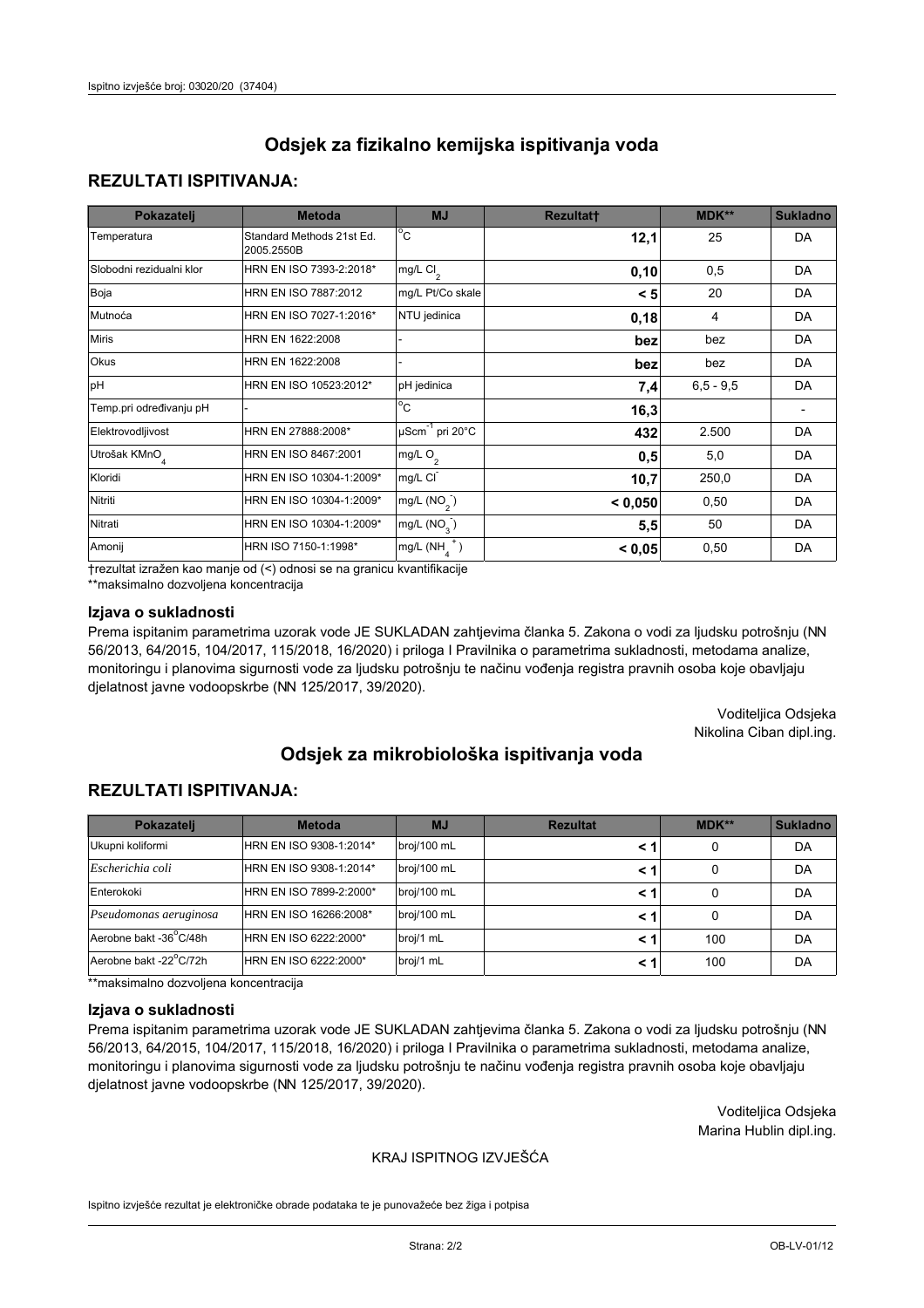## **REZULTATI ISPITIVANJA:**

| Pokazatelj                | <b>Metoda</b>                           | <b>MJ</b>                   | <b>Rezultatt</b> | <b>MDK**</b> | <b>Sukladno</b> |
|---------------------------|-----------------------------------------|-----------------------------|------------------|--------------|-----------------|
| Temperatura               | Standard Methods 21st Ed.<br>2005.2550B | $^{\circ}$ C                | 12,1             | 25           | <b>DA</b>       |
| Slobodni rezidualni klor  | HRN EN ISO 7393-2:2018*                 | mg/L $Cl_2$                 | 0,10             | 0,5          | DA              |
| Boja                      | HRN EN ISO 7887:2012                    | mg/L Pt/Co skale            | < 5              | 20           | <b>DA</b>       |
| Mutnoća                   | HRN EN ISO 7027-1:2016*                 | NTU jedinica                | 0,18             | 4            | DA              |
| <b>Miris</b>              | HRN EN 1622:2008                        |                             | bez              | bez          | DA              |
| Okus                      | HRN EN 1622:2008                        |                             | bez              | bez          | DA              |
| pH                        | HRN EN ISO 10523:2012*                  | pH jedinica                 | 7,4              | $6.5 - 9.5$  | <b>DA</b>       |
| Temp.pri određivanju pH   |                                         | $\overline{c}$              | 16,3             |              |                 |
| Elektrovodljivost         | HRN EN 27888:2008*                      | µScm <sup>-1</sup> pri 20°C | 432              | 2.500        | DA              |
| Utrošak KMnO <sub>4</sub> | HRN EN ISO 8467:2001                    | mg/L O <sub>2</sub>         | 0,5              | 5,0          | DA              |
| Kloridi                   | HRN EN ISO 10304-1:2009*                | mg/L CI                     | 10,7             | 250,0        | DA              |
| Nitriti                   | HRN EN ISO 10304-1:2009*                | mg/L $(NO2)$                | < 0,050          | 0,50         | DA              |
| Nitrati                   | HRN EN ISO 10304-1:2009*                | mg/L $(NO3)$                | 5,5              | 50           | DA              |
| Amonij                    | HRN ISO 7150-1:1998*                    | mg/L $(NH_A^+)$             | < 0,05           | 0,50         | DA              |

trezultat izražen kao manje od (<) odnosi se na granicu kvantifikacije

\*\*maksimalno dozvoljena koncentracija

## Izjava o sukladnosti

Prema ispitanim parametrima uzorak vode JE SUKLADAN zahtjevima članka 5. Zakona o vodi za ljudsku potrošnju (NN 56/2013, 64/2015, 104/2017, 115/2018, 16/2020) i priloga I Pravilnika o parametrima sukladnosti, metodama analize, monitoringu i planovima sigurnosti vode za ljudsku potrošnju te načinu vođenja registra pravnih osoba koje obavljaju djelatnost javne vodoopskrbe (NN 125/2017, 39/2020).

> Voditeljica Odsjeka Nikolina Ciban dipl.ing.

# Odsiek za mikrobiološka ispitivanja voda

## **REZULTATI ISPITIVANJA:**

| Pokazatelj             | <b>Metoda</b>           | <b>MJ</b>   | <b>Rezultat</b> | $MDK**$ | <b>Sukladno</b> |
|------------------------|-------------------------|-------------|-----------------|---------|-----------------|
| Ukupni koliformi       | HRN EN ISO 9308-1:2014* | broj/100 mL | < 1             | 0       | DA              |
| Escherichia coli       | HRN EN ISO 9308-1:2014* | broj/100 mL | < 1             | 0       | DA              |
| Enterokoki             | HRN EN ISO 7899-2:2000* | broj/100 mL | < 1             |         | DA              |
| Pseudomonas aeruginosa | HRN EN ISO 16266:2008*  | broj/100 mL | < 1             | 0       | DA              |
| Aerobne bakt -36°C/48h | HRN EN ISO 6222:2000*   | broj/1 mL   | < 1             | 100     | DA              |
| Aerobne bakt -22°C/72h | HRN EN ISO 6222:2000*   | broj/1 mL   | < 1             | 100     | DA              |

\*\*maksimalno dozvoljena koncentracija

#### Izjava o sukladnosti

Prema ispitanim parametrima uzorak vode JE SUKLADAN zahtjevima članka 5. Zakona o vodi za ljudsku potrošnju (NN 56/2013, 64/2015, 104/2017, 115/2018, 16/2020) i priloga I Pravilnika o parametrima sukladnosti, metodama analize, monitoringu i planovima sigurnosti vode za ljudsku potrošnju te načinu vođenja registra pravnih osoba koje obavljaju djelatnost javne vodoopskrbe (NN 125/2017, 39/2020).

> Voditeljica Odsjeka Marina Hublin dipl.ing.

## KRAJ ISPITNOG IZVJEŠĆA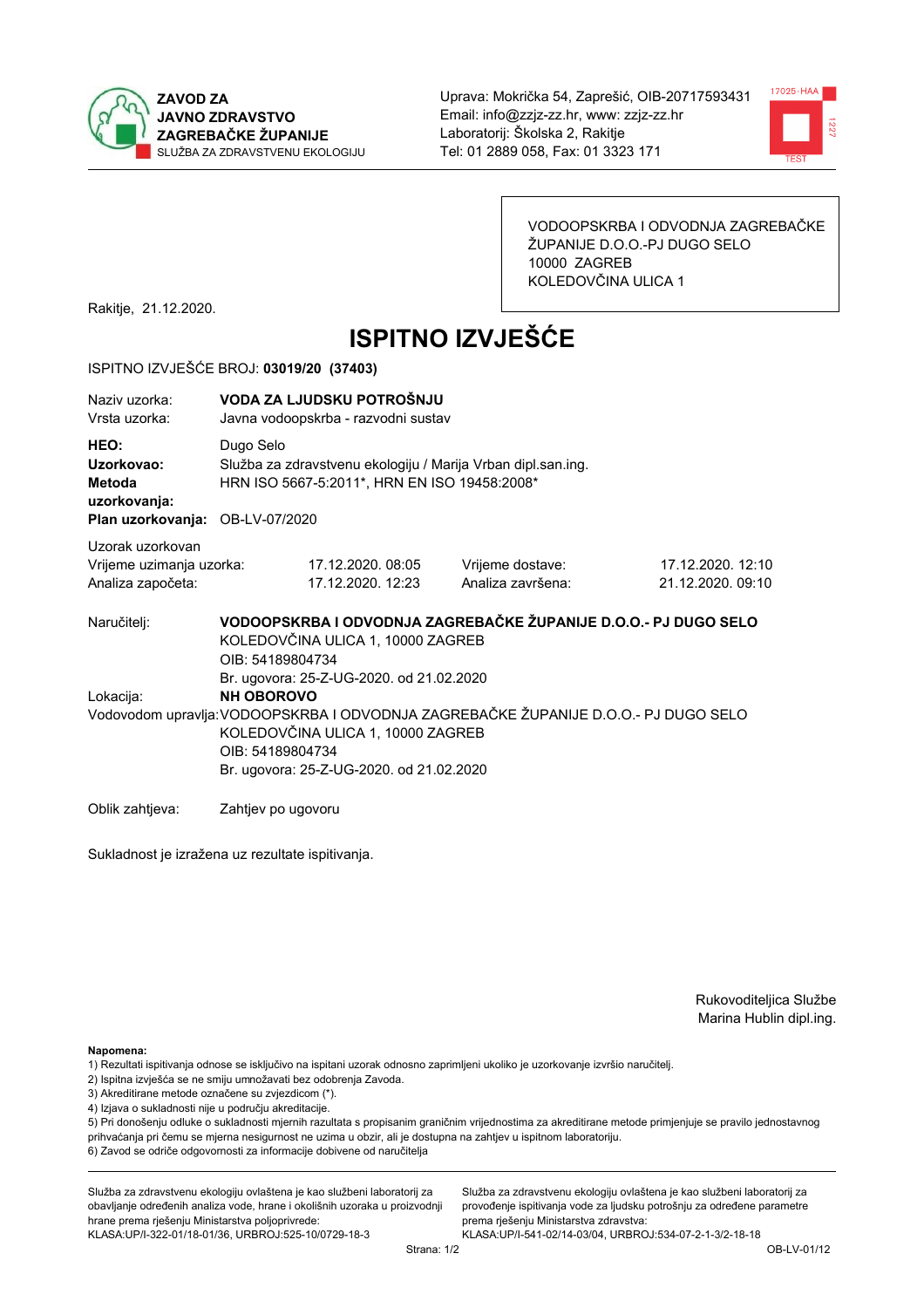



VODOOPSKRBA I ODVODNJA ZAGREBAČKE ŽUPANIJE D.O.O.-PJ DUGO SELO 10000 ZAGREB KOLEDOVČINA ULICA 1

Rakitje, 21.12.2020.

# **ISPITNO IZVJEŠĆE**

#### ISPITNO IZVJEŠĆE BROJ: 03019/20 (37403)

| Naziv uzorka:<br>Vrsta uzorka:                                                  | VODA ZA LJUDSKU POTROŠNJU<br>Javna vodoopskrba - razvodni sustav                                                                                                                                              |                                                                                                              |                                       |                                        |  |  |  |
|---------------------------------------------------------------------------------|---------------------------------------------------------------------------------------------------------------------------------------------------------------------------------------------------------------|--------------------------------------------------------------------------------------------------------------|---------------------------------------|----------------------------------------|--|--|--|
| HEO:<br>Uzorkovao:<br>Metoda<br>uzorkovanja:<br>Plan uzorkovanja: OB-LV-07/2020 | Dugo Selo                                                                                                                                                                                                     | Služba za zdravstvenu ekologiju / Marija Vrban dipl.san.ing.<br>HRN ISO 5667-5:2011*, HRN EN ISO 19458:2008* |                                       |                                        |  |  |  |
| Uzorak uzorkovan<br>Vrijeme uzimanja uzorka:<br>Analiza započeta:               |                                                                                                                                                                                                               | 17.12.2020.08:05<br>17.12.2020. 12:23                                                                        | Vrijeme dostave:<br>Analiza završena: | 17.12.2020. 12:10<br>21.12.2020. 09:10 |  |  |  |
| Naručitelj:                                                                     | VODOOPSKRBA I ODVODNJA ZAGREBAČKE ŽUPANIJE D.O.O.- PJ DUGO SELO<br>KOLEDOVČINA ULICA 1, 10000 ZAGREB<br>OIB: 54189804734<br>Br. ugovora: 25-Z-UG-2020. od 21.02.2020                                          |                                                                                                              |                                       |                                        |  |  |  |
| Lokacija:                                                                       | <b>NH OBOROVO</b><br>Vodovodom upravlja: VODOOPSKRBA I ODVODNJA ZAGREBAČKE ŽUPANIJE D.O.O.- PJ DUGO SELO<br>KOLEDOVČINA ULICA 1, 10000 ZAGREB<br>OIB: 54189804734<br>Br. ugovora: 25-Z-UG-2020. od 21.02.2020 |                                                                                                              |                                       |                                        |  |  |  |
| Oblik zahtjeva:                                                                 | Zahtjev po ugovoru                                                                                                                                                                                            |                                                                                                              |                                       |                                        |  |  |  |

Sukladnost je izražena uz rezultate ispitivanja.

Rukovoditeljica Službe Marina Hublin dipl.ing.

Napomena:

- 1) Rezultati ispitivanja odnose se isključivo na ispitani uzorak odnosno zaprimljeni ukoliko je uzorkovanje izvršio naručiteli.
- 2) Ispitna izvješća se ne smiju umnožavati bez odobrenja Zavoda.
- 3) Akreditirane metode označene su zvjezdicom (\*).
- 4) Izjava o sukladnosti nije u području akreditacije.

5) Pri donošenju odluke o sukladnosti mjernih razultata s propisanim graničnim vrijednostima za akreditirane metode primjenjuje se pravilo jednostavnog prihvaćanja pri čemu se mjerna nesigurnost ne uzima u obzir, ali je dostupna na zahtjev u ispitnom laboratoriju.

6) Zavod se odriče odgovornosti za informacije dobivene od naručitelja

Služba za zdravstvenu ekologiju ovlaštena je kao službeni laboratorij za obavljanje određenih analiza vode, hrane i okolišnih uzoraka u proizvodnji hrane prema rješenju Ministarstva poljoprivrede:

KLASA: UP/I-322-01/18-01/36, URBROJ: 525-10/0729-18-3

Služba za zdravstvenu ekologiju ovlaštena je kao službeni laboratorij za provođenje ispitivanja vode za ljudsku potrošnju za određene parametre prema riešenju Ministarstva zdravstva: